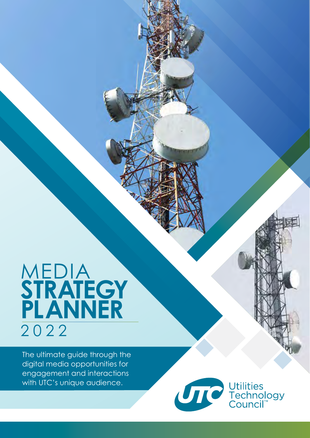# MEDIA **STRATEGY PLANNER** 2 0 2 2

The ultimate guide through the digital media opportunities for engagement and interactions with UTC's unique audience.



Utilities<br>Technology<br>Council™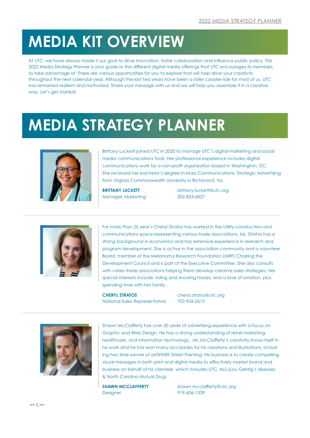# **MEDIA KIT OVERVIEW**

At UTC, we have always made it our goal to drive innovation, foster collaboration and influence public policy. This 2022 Media Strategy Planner is your guide to the different digital media offerings that UTC encourages its members to take advantage of. There are various opportunities for you to explore that will help drive your creativity throughout the next calendar year. Although the last two years have been a roller coaster ride for most of us, UTC has remained resilient and motivated. Share your message with us and we will help you assemble it in a creative way. Let's get started!

# **MEDIA STRATEGY PLANNER**



Brittany Luckett joined UTC in 2020 to manage UTC's digital marketing and social media communications tools. Her professional experience includes digital communications work for a non-profit organization based in Washington, DC. She received her bachelor's degree in Mass Communications: Strategic Advertising from Virginia Commonwealth University in Richmond, Va.

Manager, Marketing 202-833-6827

**BRITTANY LUCKETT** brittany.luckett@utc.org



For more than 25 year's Cheryl Stratos has worked in the Utility construction and communications space representing various trade associations. Ms. Stratos has a strong background in economics and has extensive experience in research and program development. She is active in the association community and a volunteer Board member of the Melanoma Research Foundation (MRF) Chairing the Development Council and is part of the Executive Committee. She also consults with varies trade associations helping them develop creative sales strategies. Her special interests include: riding and showing horses, and a love of aviation, plus spending time with her family.

**CHERYL STRATOS** cheryl.stratos@utc.org National Sales Representative 703-926-5615



Shawn McClafferty has over 20 years of advertising experience with a focus on Graphic and Web Design. He has a strong understanding of retail marketing, healthcare, and information technology. Mr. McClafferty's creativity shows itself in his work and he has won many accolades for his creations and illustrations, including two time winner of artSPARK Street Painting. His business is to create compelling visual messages in both print and digital media to effectively market brand and business on behalf of his clientele, which includes UTC, ALS (Lou Gehrig's disease) & North Carolina Mutual Drug.

Designer 919-606-1339

**SHAWN MCCLAFFERTY** shawn.mcclafferty@utc.org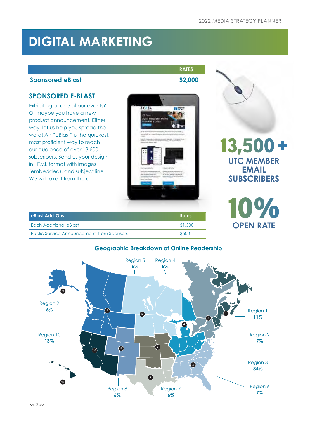13,500 +

**UTC MEMBER EMAIL SUBSCRIBERS**

**OPEN RATE**

 $V_{\odot}$ 

# **DIGITAL MARKETING**

### **Sponsored eBlast \$2,000**

### **SPONSORED E-BLAST**

Exhibiting at one of our events? Or maybe you have a new product announcement. Either way, let us help you spread the word! An "eBlast" is the quickest, most proficient way to reach our audience of over 13,500 subscribers. Send us your design in HTML format with images (embedded), and subject line. We will take it from there!

| ZYXEL                                                                                                                           | <b>Police</b>                                                                                                                                                                                                                                            |  |
|---------------------------------------------------------------------------------------------------------------------------------|----------------------------------------------------------------------------------------------------------------------------------------------------------------------------------------------------------------------------------------------------------|--|
| e                                                                                                                               |                                                                                                                                                                                                                                                          |  |
| <b>Zyxel integrates Plume</b>                                                                                                   |                                                                                                                                                                                                                                                          |  |
| Into WIFI & CPEs                                                                                                                |                                                                                                                                                                                                                                                          |  |
|                                                                                                                                 |                                                                                                                                                                                                                                                          |  |
|                                                                                                                                 | We are tracked the procurations of a statement to with this at Proven can contrad at<br>lianized in printing computers if the duration attacked to install a 14<br>inside in laying the component of defining afficient that the addition of the same of |  |
| of foreign                                                                                                                      | trained in algorithmic allows an expertise (\$140) and the state filters.                                                                                                                                                                                |  |
| hands the court dealers? Auto-                                                                                                  | can't Passan't Great terminal limiting to the country of the country                                                                                                                                                                                     |  |
|                                                                                                                                 |                                                                                                                                                                                                                                                          |  |
| <b>Formered Suite</b><br><b>Part West &amp; Australia</b>                                                                       | Helyevick Tuble<br>(Speech is a given a gallery)                                                                                                                                                                                                         |  |
| --<br>untart for randogenessed man."<br>Librarille Harris Land,<br>processing the police construction<br><b>Break Printerio</b> | ture better add complete in the chem DVI mice for the crees. In<br>Als by this Tel Lake City Secret 1.<br>٠<br>percentants and performed the<br><b>CONTINUES</b>                                                                                         |  |
|                                                                                                                                 |                                                                                                                                                                                                                                                          |  |
|                                                                                                                                 |                                                                                                                                                                                                                                                          |  |
|                                                                                                                                 |                                                                                                                                                                                                                                                          |  |
|                                                                                                                                 |                                                                                                                                                                                                                                                          |  |

| eBlast Add-Ons                                   | <b>Rates</b> |
|--------------------------------------------------|--------------|
| Each Additional eBlast                           | \$1,500      |
| <b>Public Service Announcement from Sponsors</b> | \$500        |

### **Geographic Breakdown of Online Readership**



**RATES**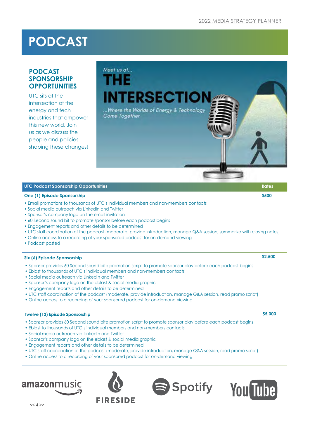# **PODCAST**

### **PODCAST SPONSORSHIP OPPORTUNITIES**

UTC sits at the intersection of the energy and tech industries that empower this new world. Join us as we discuss the people and policies shaping these changes!

# Meet us at... ΉF **INTERSECTIC** ...Where the Worlds of Energy & Technology Come Together

#### **UTC Podcast Sponsorship Opportunities Rates** Rates Rates Rates Rates Rates Rates Rates Rates Rates Rates Rates

#### **One (1) Episode Sponsorship**  $$500$

- Email promotions to thousands of UTC's individual members and non-members contacts
- Social media outreach via LinkedIn and Twitter
- Sponsor's company logo on the email invitation
- 60 Second sound bit to promote sponsor before each podcast begins
- Engagement reports and other details to be determined
- UTC staff coordination of the podcast (moderate, provide introduction, manage Q&A session, summarize with closing notes)
- Online access to a recording of your sponsored podcast for on-demand viewing
- Podcast posted

#### **Six (6) Episode Sponsorship \$2,500**

- Sponsor provides 60 Second sound bite promotion script to promote sponsor play before each podcast begins
- Eblast to thousands of UTC's individual members and non-members contacts
- Social media outreach via LinkedIn and Twitter
- Sponsor's company logo on the eblast & social media graphic
- Engagement reports and other details to be determined
- UTC staff coordination of the podcast (moderate, provide introduction, manage Q&A session, read promo script)
- Online access to a recording of your sponsored podcast for on-demand viewing

#### **Twelve (12) Episode Sponsorship \$5,000**

- Sponsor provides 60 Second sound bite promotion script to promote sponsor play before each podcast begins
- Eblast to thousands of UTC's individual members and non-members contacts
- Social media outreach via LinkedIn and Twitter
- Sponsor's company logo on the eblast & social media graphic
- Engagement reports and other details to be determined
- UTC staff coordination of the podcast (moderate, provide introduction, manage Q&A session, read promo script)
- Online access to a recording of your sponsored podcast for on-demand viewing







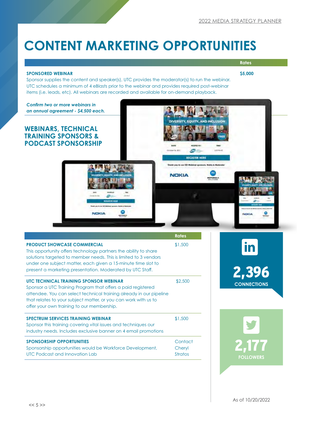# **CONTENT MARKETING OPPORTUNITIES**

#### **SPONSORED WEBINAR**

**Rates \$5,000**

Sponsor supplies the content and speaker(s), UTC provides the moderator(s) to run the webinar. UTC schedules a minimum of 4 eBlasts prior to the webinar and provides required post-webinar items (i.e. leads, etc). All webinars are recorded and available for on-demand playback.



 $\overline{a}$ 

**NOKIA** 

 $\sqrt{ac}$ 

**REGISTER HERE** 

Thank you to our DEI Welsing sponsors

 $\frac{1}{2}$ 

|                                                                                                                                                                                                                                                                                                          | <b>Rates</b>                        |
|----------------------------------------------------------------------------------------------------------------------------------------------------------------------------------------------------------------------------------------------------------------------------------------------------------|-------------------------------------|
| <b>PRODUCT SHOWCASE COMMERCIAL</b><br>This opportunity offers technology partners the ability to share<br>solutions targeted to member needs. This is limited to 3 vendors<br>under one subject matter, each given a 15-minute time slot to<br>present a marketing presentation. Moderated by UTC Staff. | \$1,500                             |
| UTC TECHNICAL TRAINING SPONSOR WEBINAR<br>Sponsor a UTC Training Program that offers a paid registered<br>attendee. You can select technical training already in our pipeline<br>that relates to your subject matter, or you can work with us to<br>offer your own training to our membership.           | \$2,500                             |
| <b>SPECTRUM SERVICES TRAINING WEBINAR</b><br>Sponsor this training covering vital issues and techniques our<br>industry needs. Includes exclusive banner on 4 email promotions                                                                                                                           | \$1,500                             |
| <b>SPONSORSHIP OPPORTUNITIES</b><br>Sponsorship opportunities would be Workforce Development,<br>UTC Podcast and Innovation Lab                                                                                                                                                                          | Contact<br>Cheryl<br><b>Stratos</b> |

 $\epsilon$ 

NOKIA

۰

2,396

in

**NOKIA** 

٥

**CONNECTIONS**

2,177 **FOLLOWERS**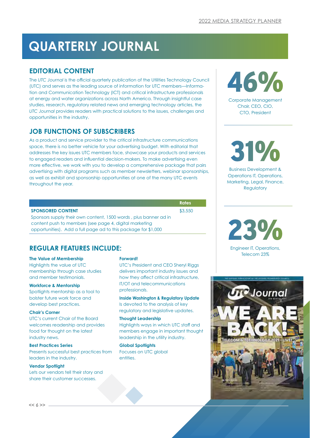# **QUARTERLY JOURNAL**

### **EDITORIAL CONTENT**

The *UTC Journal* is the official quarterly publication of the Utilities Technology Council (UTC) and serves as the leading source of information for UTC members—Information and Communication Technology (ICT) and critical infrastructure professionals at energy and water organizations across North America. Through insightful case studies, research, regulatory related news and emerging technology articles, the *UTC Journal* provides readers with practical solutions to the issues, challenges and opportunities in the industry.

# **JOB FUNCTIONS OF SUBSCRIBERS**

As a product and service provider to the critical infrastructure communications space, there is no better vehicle for your advertising budget. With editorial that addresses the key issues UTC members face, showcase your products and services to engaged readers and influential decision-makers. To make advertising even more effective, we work with you to develop a comprehensive package that pairs advertising with digital programs such as member newsletters, webinar sponsorships, as well as exhibit and sponsorship opportunities at one of the many UTC events throughout the year.

|                                                                  | <b>Rates</b> |
|------------------------------------------------------------------|--------------|
| <b>SPONSORED CONTENT</b>                                         | \$3,550      |
| Sponsors supply their own content, 1500 words, plus banner ad in |              |

content push to members (see page 4, digital marketing opportunities). Add a full page ad to this package for \$1,000

# **REGULAR FEATURES INCLUDE:**

#### **The Value of Membership**

Highlights the value of UTC membership through case studies and member testimonials.

#### **Workforce & Mentorship**

Spotlights mentorship as a tool to bolster future work force and develop best practices.

#### **Chair's Corner**

UTC's current Chair of the Board welcomes readership and provides food for thought on the latest industry news.

#### **Best Practices Series**

Presents successful best practices from leaders in the industry.

#### **Vendor Spotlight**

Lets our vendors tell their story and share their customer successes.

#### **Forward!**

UTC's President and CEO Sheryl Riggs delivers important industry issues and how they affect critical infrastructure, IT/OT and telecommunications professionals.

**Inside Washington & Regulatory Update** Is devoted to the analysis of key regulatory and legislative updates.

#### **Thought Leadership**

Highlights ways in which UTC staff and members engage in important thought leadership in the utility industry.

#### **Global Spotlights**

Focuses on UTC global entities.



Corporate Management Chair, CEO, CIO, CTO, President

31%

Business Development & Operations IT, Operations, Marketing, Legal, Finance, **Regulatory** 

23%

Engineer IT, Operations, Telecom 23%

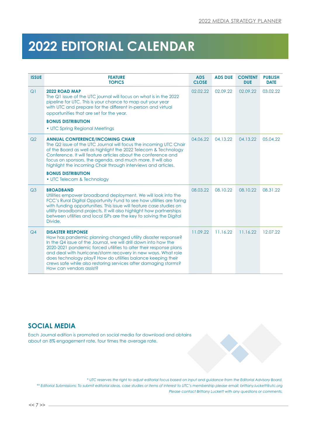# **2022 EDITORIAL CALENDAR**

| <b>ISSUE</b>   | <b>FEATURE</b><br><b>TOPICS</b>                                                                                                                                                                                                                                                                                                                                                                                                                                 | <b>ADS</b><br><b>CLOSE</b> | <b>ADS DUE</b> | <b>CONTENT</b><br><b>DUE</b> | <b>PUBLISH</b><br><b>DATE</b> |
|----------------|-----------------------------------------------------------------------------------------------------------------------------------------------------------------------------------------------------------------------------------------------------------------------------------------------------------------------------------------------------------------------------------------------------------------------------------------------------------------|----------------------------|----------------|------------------------------|-------------------------------|
| Q <sub>1</sub> | 2022 ROAD MAP<br>The Q1 issue of the UTC journal will focus on what is in the 2022<br>pipeline for UTC. This is your chance to map out your year<br>with UTC and prepare for the different in-person and virtual<br>opportunities that are set for the year.<br><b>BONUS DISTRIBUTION</b><br>• UTC Spring Regional Meetings                                                                                                                                     | 02.02.22                   | 02.09.22       | 02.09.22                     | 03.02.22                      |
| Q <sub>2</sub> | <b>ANNUAL CONFERENCE/INCOMING CHAIR</b><br>The Q2 issue of the UTC Journal will focus the incoming UTC Chair<br>of the Board as well as highlight the 2022 Telecom & Technology<br>Conference. It will feature articles about the conference and<br>focus on sponsors, the agenda, and much more. It will also<br>highlight the incoming Chair through interviews and articles.<br><b>BONUS DISTRIBUTION</b><br>• UTC Telecom & Technology                      | 04.06.22                   | 04.13.22       | 04.13.22                     | 05.04.22                      |
| Q <sub>3</sub> | <b>BROADBAND</b><br>Utilities empower broadband deployment. We will look into the<br>FCC's Rural Digital Opportunity Fund to see how utilities are faring<br>with funding opportunities. This issue will feature case studies on<br>utility broadband projects. It will also highlight how partnerships<br>between utilities and local ISPs are the key to solving the Digital<br>Divide.                                                                       | 08.03.22                   | 08.10.22       | 08.10.22                     | 08.31.22                      |
| Q4             | <b>DISASTER RESPONSE</b><br>How has pandemic planning changed utility disaster response?<br>In the Q4 issue of the Journal, we will drill down into how the<br>2020-2021 pandemic forced utilities to alter their response plans<br>and deal with hurricane/storm recovery in new ways. What role<br>does technology play? How do utilities balance keeping their<br>crews safe while also restoring services after damaging storms?<br>How can vendors assist? | 11.09.22                   | 11.16.22       | 11.16.22                     | 12.07.22                      |

# **SOCIAL MEDIA**

Each Journal edition is promoted on social media for download and obtains about an 8% engagement rate, four times the average rate.

*\* UTC reserves the right to adjust editorial focus based on input and guidance from the Editorial Advisory Board. \*\* Editorial Submissions: To submit editorial ideas, case studies or items of interest to UTC's membership please email: brittany.luckett@utc.org Please contact Brittany Luckett with any questions or comments.*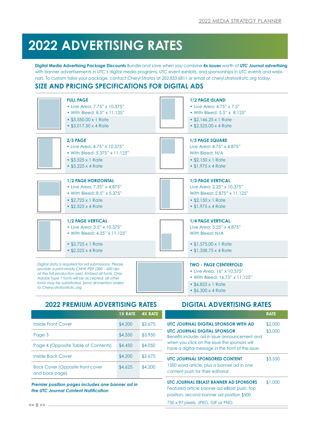# **2022 ADVERTISING RATES**

**Digital Media Advertising Package Discounts** Bundle and save when you combine **4x issues** worth of *UTC Journal* **advertising** with banner advertisements in UTC's digital media programs, UTC event exhibits, and sponsorships in UTC events and webinars. To custom tailor your package, contact Cheryl Stratos at 202.833.6811 or email at cheryl.stratos@utc.org today.

### **SIZE AND PRICING SPECIFICATIONS FOR DIGITAL ADS**

|                           | <b>FULL PAGE</b><br>• Live Area: 7.75" x 10.375"<br>• With Bleed: 8.5" x 11.125"<br>• \$3,550.00 x 1 Rate<br>• \$3,017.50 x 4 Rate                                                                                                                                   | <b>1/2 PAGE ISLAND</b><br>• Live Area: 4.75" x 7.5"<br>• With Bleed: 5.5" x 8.125"<br>$\cdot$ \$2,146.25 x 1 Rate<br>• \$2,525.00 x 4 Rate           |
|---------------------------|----------------------------------------------------------------------------------------------------------------------------------------------------------------------------------------------------------------------------------------------------------------------|------------------------------------------------------------------------------------------------------------------------------------------------------|
|                           | 2/3 PAGE<br>• Live Area: 4.75" x 10.375"<br>• With Bleed: 5.375" x 11.125"<br>$\cdot$ \$3,525 x 1 Rate<br>$\cdot$ \$3,225 x 4 Rate                                                                                                                                   | <b>1/3 PAGE SQUARE</b><br>Live Area: 4.75" x 4.875"<br>With Bleed: N/A<br>$\cdot$ \$2,150 x 1 Rate<br>$\cdot$ \$1,975 x 4 Rate                       |
|                           | <b>1/2 PAGE HORIZONTAL</b><br>• Live Area: 7.25" x 4.875"<br>• With Bleed: 8.5" x 5.375"<br>$\cdot$ \$2,725 x 1 Rate<br>$\cdot$ \$2,525 x 4 Rate                                                                                                                     | <b>1/3 PAGE VERTICAL</b><br>Live Area: 2.25" x 10.375"<br>With Bleed: 2.875" x 11.125"<br>$\cdot$ \$2,150 x 1 Rate<br>$\cdot$ \$1,975 x 4 Rate       |
|                           | <b>1/2 PAGE VERTICAL</b><br>• Live Area: 3.5" x 10.375"<br>• With Bleed: 4.25" x 11.125"<br>$\cdot$ \$2,725 x 1 Rate<br>$\cdot$ \$2,525 x 4 Rate                                                                                                                     | <b>1/4 PAGE VERTICAL</b><br>Live Area: 3.25" x 4.875"<br>With Bleed: N/A<br>• \$1,575.00 x 1 Rate<br>• \$1,338.75 x 4 Rate                           |
| to Cheryl.stratos@utc.org | Digital data is required for ad submissions. Please<br>provide a print-ready CMYK PDF (300 - 600 dpi<br>at the full production size). Embed all fonts. Only<br>Adobe Type 1 fonts will be accepted; all other<br>fonts may be substituted. Send all insertion orders | <b>TWO - PAGE CENTERFOLD</b><br>• Live Area: 16" x 10.375"<br>• With Bleed: 16.75" x 11.125"<br>$\cdot$ \$6,825 x 1 Rate<br>$\cdot$ \$6,300 x 4 Rate |

# **2022 PREMIUM ADVERTISING RATES DIGITAL ADVERTISING RATES**

|                                                           | <b>1X RATE</b> | <b>4X RATE</b> |
|-----------------------------------------------------------|----------------|----------------|
| <b>Inside Front Cover</b>                                 | \$4,200        | \$3,675        |
| Page 3                                                    | \$4,350        | \$3,950        |
| Page 4 (Opposite Table of Contents)                       | \$4,450        | \$4,050        |
| <b>Inside Back Cover</b>                                  | \$4,200        | \$3,675        |
| <b>Back Cover (Opposite front cover</b><br>and back page) | \$4,625        | \$4,200        |

\$1,000 *Premier position pages includes one banner ad in the UTC Journal Content Notification*

|                                                                                                                                                                                            | <b>RATE</b> |
|--------------------------------------------------------------------------------------------------------------------------------------------------------------------------------------------|-------------|
| UTC JOURNAL DIGITAL SPONSOR WITH AD                                                                                                                                                        | \$2,000     |
| <b>UTC JOURNAL DIGITAL SPONSOR</b><br>Benefits include: ad in issue announcement and<br>when you click on the issue the sponsors will<br>have a digital message in the front of the issue. | \$3,000     |
| UTC JOURNAL SPONSORED CONTENT<br>1500 word article, plus a banner ad in one<br>content push for their editorial                                                                            | \$3,550     |
| UTC JOURNAL EBLAST BANNER AD SPONSORS<br>Featured article banner ad eBlast push, top<br>position, second banner ad position \$500<br>750 x 97 pixels, JPEG, GIF or PNG                     | \$1,000     |